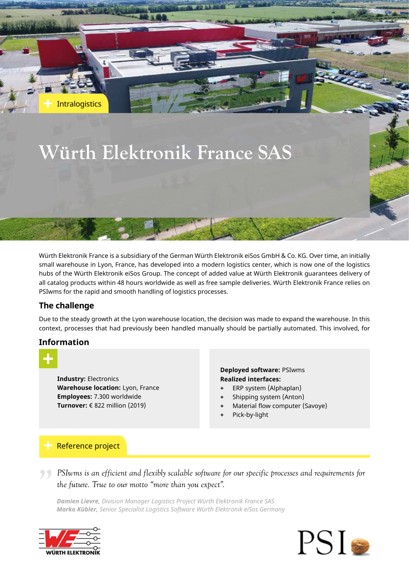# **Würth Elektronik France SAS**

Würth Elektronik France is a subsidiary of the German Würth Elektronik eiSos GmbH & Co. KG. Over time, an initially small warehouse in Lyon, France, has developed into a modern logistics center, which is now one of the logistics hubs of the Würth Elektronik eiSos Group. The concept of added value at Würth Elektronik guarantees delivery of all catalog products within 48 hours worldwide as well as free sample deliveries. Würth Elektronik France relies on PSIwms for the rapid and smooth handling of logistics processes.

# **The challenge**

**Intralogistics** 

Due to the steady growth at the Lyon warehouse location, the decision was made to expand the warehouse. In this context, processes that had previously been handled manually should be partially automated. This involved, for

## **Information**

**Industry:** Electronics **Warehouse location:** Lyon, France **Employees:** 7.300 worldwide **Turnover:** € 822 million (2019)

## **Deployed software:** PSIwms **Realized interfaces:**

- **+** ERP system (Alphaplan)
- **+** Shipping system (Anton)
- **+** Material flow computer (Savoye)
- **+** Pick-by-light

# Reference project

*PSIwms is an efficient and flexibly scalable software for our specific processes and requirements for the future. True to our motto "more than you expect". the future. True to our motto "more than you expect".*

*Damien Lievre, Division Manager Logistics Project Würth Elektronik France SAS Marko Kübler, Senior Specialist Logistics Software Würth Elektronik eiSos Germany*